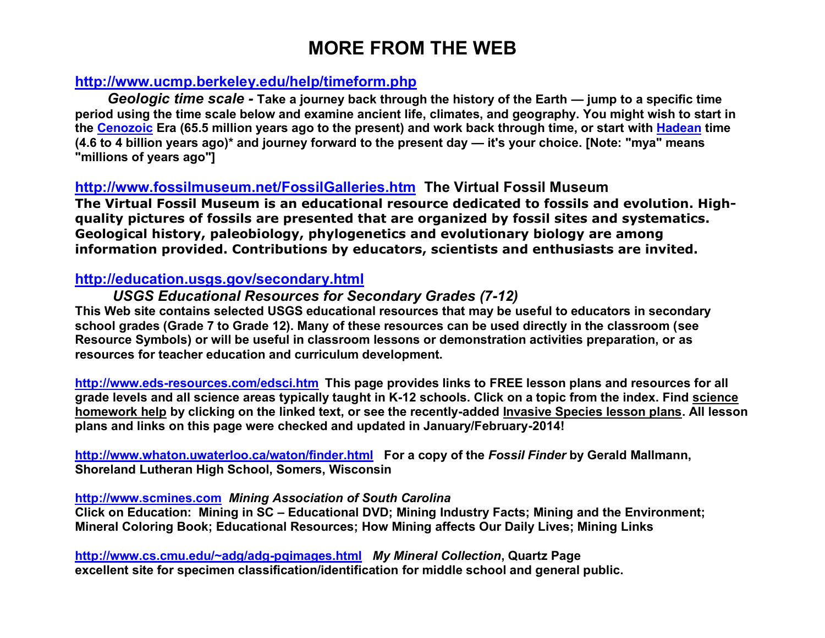# **MORE FROM THE WEB**

# **http://www.ucmp.berkeley.edu/help/timeform.php**

*Geologic time scale -* **Take a journey back through the history of the Earth — jump to a specific time period using the time scale below and examine ancient life, climates, and geography. You might wish to start in the Cenozoic Era (65.5 million years ago to the present) and work back through time, or start with Hadean time (4.6 to 4 billion years ago)\* and journey forward to the present day — it's your choice. [Note: "mya" means "millions of years ago"]**

## **http://www.fossilmuseum.net/FossilGalleries.htm The Virtual Fossil Museum**

**The Virtual Fossil Museum is an educational resource dedicated to fossils and evolution. Highquality pictures of fossils are presented that are organized by fossil sites and systematics. Geological history, paleobiology, phylogenetics and evolutionary biology are among information provided. Contributions by educators, scientists and enthusiasts are invited.**

## **http://education.usgs.gov/secondary.html**

## *USGS Educational Resources for Secondary Grades (7-12)*

**This Web site contains selected USGS educational resources that may be useful to educators in secondary school grades (Grade 7 to Grade 12). Many of these resources can be used directly in the classroom (see Resource Symbols) or will be useful in classroom lessons or demonstration activities preparation, or as resources for teacher education and curriculum development.**

**http://www.eds-resources.com/edsci.htm This page provides links to FREE lesson plans and resources for all grade levels and all science areas typically taught in K-12 schools. Click on a topic from the index. Find science homework help by clicking on the linked text, or see the recently-added Invasive Species lesson plans. All lesson plans and links on this page were checked and updated in January/February-2014!**

**http://www.whaton.uwaterloo.ca/waton/finder.html For a copy of the** *Fossil Finder* **by Gerald Mallmann, Shoreland Lutheran High School, Somers, Wisconsin** 

#### **http://www.scmines.com** *Mining Association of South Carolina*

**Click on Education: Mining in SC – Educational DVD; Mining Industry Facts; Mining and the Environment; Mineral Coloring Book; Educational Resources; How Mining affects Our Daily Lives; Mining Links** 

**http://www.cs.cmu.edu/~adg/adg-pqimages.html** *My Mineral Collection***, Quartz Page excellent site for specimen classification/identification for middle school and general public.**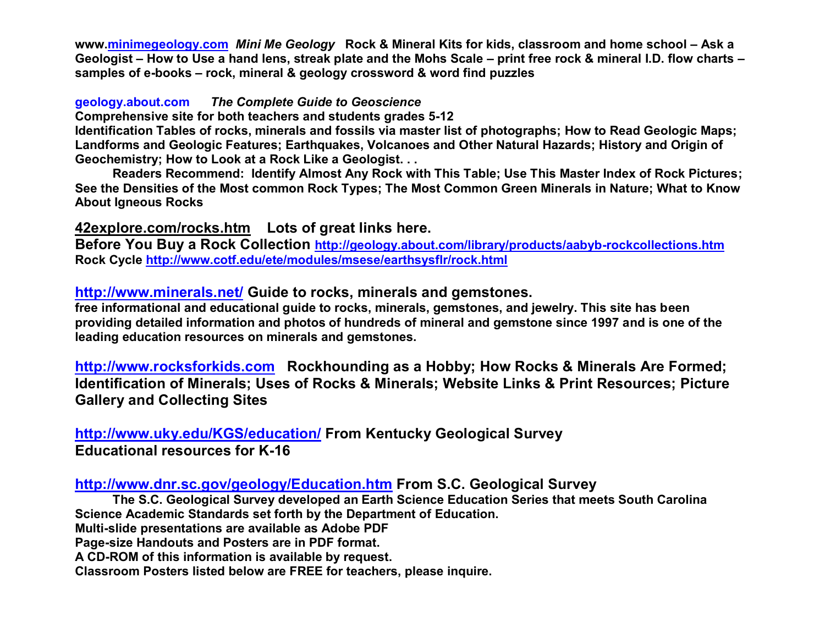**www.minimegeology.com** *Mini Me Geology* **Rock & Mineral Kits for kids, classroom and home school – Ask a Geologist – How to Use a hand lens, streak plate and the Mohs Scale – print free rock & mineral I.D. flow charts – samples of e-books – rock, mineral & geology crossword & word find puzzles**

#### **geology.about.com** *The Complete Guide to Geoscience*

**Comprehensive site for both teachers and students grades 5-12**

**Identification Tables of rocks, minerals and fossils via master list of photographs; How to Read Geologic Maps; Landforms and Geologic Features; Earthquakes, Volcanoes and Other Natural Hazards; History and Origin of Geochemistry; How to Look at a Rock Like a Geologist. . .**

**Readers Recommend: Identify Almost Any Rock with This Table; Use This Master Index of Rock Pictures; See the Densities of the Most common Rock Types; The Most Common Green Minerals in Nature; What to Know About Igneous Rocks**

## **42explore.com/rocks.htm Lots of great links here.**

**Before You Buy a Rock Collection http://geology.about.com/library/products/aabyb-rockcollections.htm Rock Cycle http://www.cotf.edu/ete/modules/msese/earthsysflr/rock.html**

## **http://www.minerals.net/ Guide to rocks, minerals and gemstones.**

**free informational and educational guide to rocks, minerals, gemstones, and jewelry. This site has been providing detailed information and photos of hundreds of mineral and gemstone since 1997 and is one of the leading education resources on minerals and gemstones.**

**http://www.rocksforkids.com Rockhounding as a Hobby; How Rocks & Minerals Are Formed; Identification of Minerals; Uses of Rocks & Minerals; Website Links & Print Resources; Picture Gallery and Collecting Sites**

**http://www.uky.edu/KGS/education/ From Kentucky Geological Survey Educational resources for K-16**

## **http://www.dnr.sc.gov/geology/Education.htm From S.C. Geological Survey**

**The S.C. Geological Survey developed an Earth Science Education Series that meets South Carolina Science Academic Standards set forth by the Department of Education.**

**Multi-slide presentations are available as Adobe PDF** 

**Page-size Handouts and Posters are in PDF format.** 

**A CD-ROM of this information is available by request.** 

**Classroom Posters listed below are FREE for teachers, please inquire.**